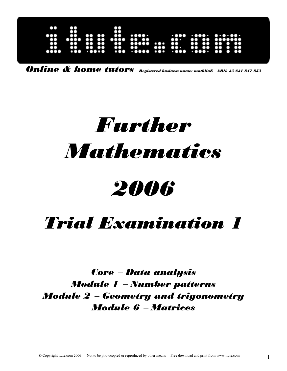

*Online & home tutors Registered business name: mathlinE ABN: 35 631 847 853*

# *Further Mathematics*

# *2006*

# *Trial Examination 1*

*Core* − *Data analysis Module 1* − *Number patterns Module 2* − *Geometry and trigonometry Module 6* − *Matrices*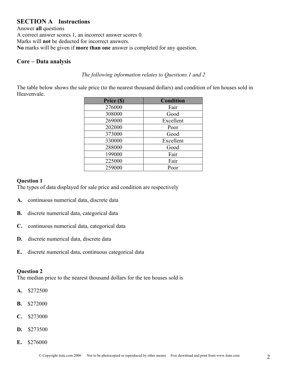# **SECTION A Instructions**

Answer **all** questions A correct answer scores 1, an incorrect answer scores 0. Marks will **not** be deducted for incorrect answers. **No** marks will be given if **more than one** answer is completed for any question.

# **Core** − **Data analysis**

# *The following information relates to Questions 1 and 2*

The table below shows the sale price (to the nearest thousand dollars) and condition of ten houses sold in Heavenvale.

| Price (\$) | <b>Condition</b> |
|------------|------------------|
| 276000     | Fair             |
| 308000     | Good             |
| 269000     | Excellent        |
| 202000     | Poor             |
| 373000     | Good             |
| 330000     | Excellent        |
| 288000     | Good             |
| 199000     | Fair             |
| 225000     | Fair             |
| 259000     | Poor             |

### **Question 1**

The types of data displayed for sale price and condition are respectively

- **A.** continuous numerical data, discrete data
- **B.** discrete numerical data, categorical data
- **C.** continuous numerical data, categorical data
- **D.** discrete numerical data, discrete data
- **E.** discrete numerical data, continuous categorical data

### **Question 2**

The median price to the nearest thousand dollars for the ten houses sold is

- **A.** \$272500
- **B.** \$272000
- **C.** \$273000
- **D.** \$273500
- **E.** \$276000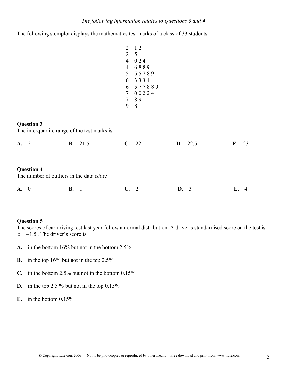The following stemplot displays the mathematics test marks of a class of 33 students.

|                          | 12     |
|--------------------------|--------|
| $\frac{2}{4}$            | 5      |
|                          | 024    |
| $\overline{\mathcal{L}}$ | 6889   |
| 5                        | 55789  |
| 6                        | 3334   |
| 6                        | 577889 |
| 7                        | 00224  |
| 7                        | 89     |
|                          | 8      |

#### **Question 3**

The interquartile range of the test marks is

| A. 21 |  | <b>B.</b> 21.5 | C. 22 |  | <b>D.</b> 22.5 | E. 23 |  |
|-------|--|----------------|-------|--|----------------|-------|--|
|       |  |                |       |  |                |       |  |

#### **Question 4**

The number of outliers in the data is/are

| A. 0 | <b>B.</b> 1 | C. 2 | <b>D.</b> 3 | E. 4 |  |
|------|-------------|------|-------------|------|--|
|      |             |      |             |      |  |

#### **Question 5**

The scores of car driving test last year follow a normal distribution. A driver's standardised score on the test is  $z = -1.5$ . The driver's score is

- **A.** in the bottom 16% but not in the bottom 2.5%
- **B.** in the top 16% but not in the top 2.5%
- **C.** in the bottom 2.5% but not in the bottom 0.15%
- **D.** in the top 2.5 % but not in the top 0.15%
- **E.** in the bottom 0.15%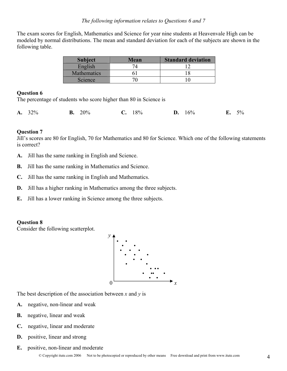### *The following information relates to Questions 6 and 7*

The exam scores for English, Mathematics and Science for year nine students at Heavenvale High can be modeled by normal distributions. The mean and standard deviation for each of the subjects are shown in the following table.

| <b>Subject</b>     | Mean | <b>Standard deviation</b> |
|--------------------|------|---------------------------|
| English            |      |                           |
| <b>Mathematics</b> |      |                           |
| Science            |      |                           |

#### **Question 6**

The percentage of students who score higher than 80 in Science is

| A. 32% | <b>B.</b> $20\%$ | C. 18% | <b>D.</b> $16\%$ | <b>E.</b> $5\%$ |  |
|--------|------------------|--------|------------------|-----------------|--|
|        |                  |        |                  |                 |  |

#### **Question 7**

Jill's scores are 80 for English, 70 for Mathematics and 80 for Science. Which one of the following statements is correct?

- **A.** Jill has the same ranking in English and Science.
- **B.** Jill has the same ranking in Mathematics and Science.
- **C.** Jill has the same ranking in English and Mathematics.
- **D.** Jill has a higher ranking in Mathematics among the three subjects.
- **E.** Jill has a lower ranking in Science among the three subjects.

#### **Question 8**

Consider the following scatterplot.



The best description of the association between *x* and *y* is

- **A.** negative, non-linear and weak
- **B.** negative, linear and weak
- **C.** negative, linear and moderate
- **D.** positive, linear and strong
- **E.** positive, non-linear and moderate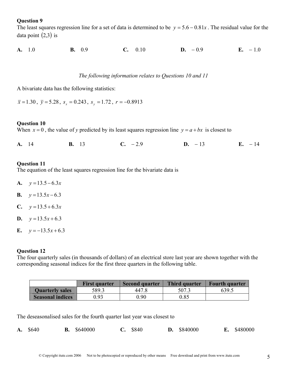The least squares regression line for a set of data is determined to be *y* = 5.6 − 0.81*x* . The residual value for the data point  $(2,3)$  is

**A.** 1.0 **B.** 0.9 **C.** 0.10 **D.** − 0.9 **E.** − 1.0

#### *The following information relates to Questions 10 and 11*

A bivariate data has the following statistics:

 $\bar{x}$  = 1.30,  $\bar{y}$  = 5.28,  $s_x$  = 0.243,  $s_y$  = 1.72,  $r = -0.8913$ 

#### **Question 10**

When  $x = 0$ , the value of *y* predicted by its least squares regression line  $y = a + bx$  is closest to

**A.** 14 **B.** 13 **C.** − 2.9 **D.** − 13 **E.** − 14

#### **Question 11**

The equation of the least squares regression line for the bivariate data is

- **A.** *y* =13.5 − 6.3*x*
- **B.**  $y=13.5x-6.3$
- **C.**  $y=13.5+6.3x$
- **D.**  $y = 13.5x + 6.3$
- **E.**  $y = -13.5x + 6.3$

#### **Question 12**

The four quarterly sales (in thousands of dollars) of an electrical store last year are shown together with the corresponding seasonal indices for the first three quarters in the following table.

|                         | <b>First quarter</b> | <b>Second quarter</b> | <b>Third quarter</b> | <b>Fourth quarter</b> |
|-------------------------|----------------------|-----------------------|----------------------|-----------------------|
| <b>Quarterly sales</b>  | 589.3                | 4478                  | 507.3                | 639.5                 |
| <b>Seasonal indices</b> | 0.93                 | 0.90                  | 0.85                 |                       |

The deseasonalised sales for the fourth quarter last year was closest to

|  | A. \$640 |  | <b>B.</b> \$640000 |  | $C.$ \$840 |  | <b>D.</b> \$840000 |  | E. \$480000 |
|--|----------|--|--------------------|--|------------|--|--------------------|--|-------------|
|--|----------|--|--------------------|--|------------|--|--------------------|--|-------------|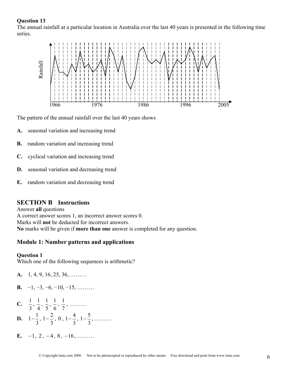The annual rainfall at a particular location in Australia over the last 40 years is presented in the following time series.



The pattern of the annual rainfall over the last 40 years shows

- **A.** seasonal variation and increasing trend
- **B.** random variation and increasing trend
- **C.** cyclical variation and increasing trend
- **D.** seasonal variation and decreasing trend
- **E.** random variation and decreasing trend

# **SECTION B Instructions**

Answer **all** questions A correct answer scores 1, an incorrect answer scores 0. Marks will **not** be deducted for incorrect answers. **No** marks will be given if **more than one** answer is completed for any question.

# **Module 1: Number patterns and applications**

#### **Question 1**

Which one of the following sequences is arithmetic?

- **A.** 1, 4, 9, 16, 25, 36, ………
- **B.**  $-1, -3, -6, -10, -15, \ldots$
- **C.**  3  $\frac{1}{2}$ , 4  $\frac{1}{4}$ , 5  $\frac{1}{2}$ , 6  $\frac{1}{2}$ , 7  $\frac{1}{2}$ , ………
- **D.**  $1-\frac{1}{3}, 1-\frac{2}{3}, 0, 1-\frac{4}{3}, 1-\frac{5}{3}, \dots$
-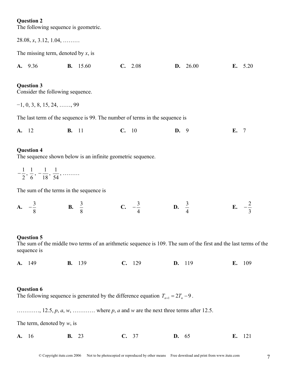The following sequence is geometric.

|       | $28.08, x, 3.12, 1.04, \ldots$                                                             |              |                 |       |                                                                             |     |          |      |           |
|-------|--------------------------------------------------------------------------------------------|--------------|-----------------|-------|-----------------------------------------------------------------------------|-----|----------|------|-----------|
|       | The missing term, denoted by $x$ , is                                                      |              |                 |       |                                                                             |     |          |      |           |
|       | A. 9.36                                                                                    |              | <b>B.</b> 15.60 |       | C. 2.08                                                                     |     | D. 26.00 |      | E. $5.20$ |
|       | <b>Question 3</b><br>Consider the following sequence.<br>$-1, 0, 3, 8, 15, 24, \ldots, 99$ |              |                 |       |                                                                             |     |          |      |           |
|       |                                                                                            |              |                 |       | The last term of the sequence is 99. The number of terms in the sequence is |     |          |      |           |
| A. 12 |                                                                                            | <b>B.</b> 11 |                 | C. 10 |                                                                             | D.9 |          | E. 7 |           |
|       | <b>Question 4</b><br>The sequence shown below is an infinite geometric sequence.           |              |                 |       |                                                                             |     |          |      |           |

2  $-\frac{1}{2}$ ,  $\frac{1}{6}, -\frac{1}{18},$ 54  $\frac{1}{\cdots}$ , ………

The sum of the terms in the sequence is

**A.**  $-\frac{3}{8}$  **B.**  $\frac{3}{8}$  **C.**  $-\frac{3}{4}$  **D.**  $\frac{3}{4}$  $\frac{3}{4}$  **E.**  $-\frac{2}{3}$ 

# **Question 5**

The sum of the middle two terms of an arithmetic sequence is 109. The sum of the first and the last terms of the sequence is

**A.** 149 **B.** 139 **C.** 129 **D.** 119 **E.** 109

# **Question 6**

The following sequence is generated by the difference equation  $T_{n+1} = 2T_n - 9$ .

…………, 12.5, *p*, *a*, *w*, ………… where *p*, *a* and *w* are the next three terms after 12.5.

The term, denoted by *w*, is

| A. 16 | <b>B.</b> 23 | C. 37 | D. 65 | E. 121 |
|-------|--------------|-------|-------|--------|
|       |              |       |       |        |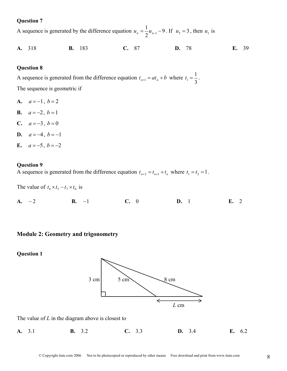A sequence is generated by the difference equation  $u_n = -u_{n-1} - 9$ 2  $u_n = \frac{1}{2} u_{n-1} - 9$ . If  $u_5 = 3$ , then  $u_1$  is

**A.** 318 **B.** 183 **C.** 87 **D.** 78 **E.** 39

#### **Question 8**

A sequence is generated from the difference equation  $t_{n+1} = at_n + b$  where  $t_1 = \frac{1}{3}$  $t_1 = \frac{1}{2}$ .

The sequence is geometric if

- **A.**  $a = -1, b = 2$
- **B.**  $a = -2, b = 1$
- **C.**  $a = -3, b = 0$
- **D.**  $a = -4, b = -1$
- **E.**  $a = -5, b = -2$

#### **Question 9**

A sequence is generated from the difference equation  $t_{n+2} = t_{n+1} + t_n$  where  $t_1 = t_2 = 1$ .

The value of  $t_8 \times t_5 - t_7 \times t_6$  is

| $A. -2$ | $\mathbf{B.}$ -1 | C. 0 | <b>D.</b> 1 | E. 2 |
|---------|------------------|------|-------------|------|
|         |                  |      |             |      |

# **Module 2: Geometry and trigonometry**

### **Question 1**



#### The value of *L* in the diagram above is closest to

| A. 3.1 | <b>B.</b> $3.2$ | C. 3.3 | D. 3.4 | E. 6.2 |  |
|--------|-----------------|--------|--------|--------|--|
|        |                 |        |        |        |  |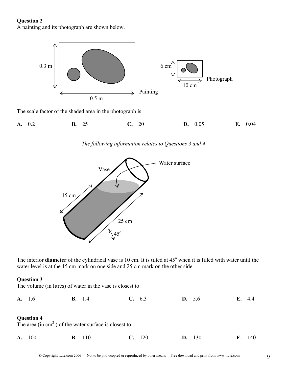A painting and its photograph are shown below.



The scale factor of the shaded area in the photograph is

**A.** 0.2 **B.** 25 **C.** 20 **D.** 0.05 **E.** 0.04





The interior **diameter** of the cylindrical vase is 10 cm. It is tilted at 45° when it is filled with water until the water level is at the 15 cm mark on one side and 25 cm mark on the other side.

#### **Question 3**

The volume (in litres) of water in the vase is closest to

**A.** 1.6 **B.** 1.4 **C.** 6.3 **D.** 5.6 **E.** 4.4

#### **Question 4**

The area (in  $\text{cm}^2$ ) of the water surface is closest to

| E. 140<br><b>B.</b> 110<br>C. 120<br><b>A.</b> 100<br>D. 130 |
|--------------------------------------------------------------|
|--------------------------------------------------------------|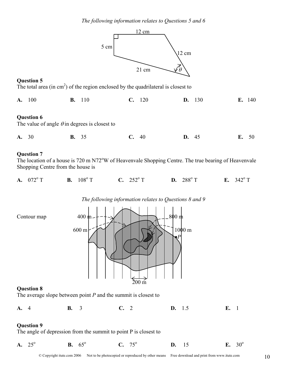

The total area (in  $\text{cm}^2$ ) of the region enclosed by the quadrilateral is closest to

**A.** 100 **B.** 110 **C.** 120 **D.** 130 **E.** 140

### **Question 6**

The value of angle  $\theta$  in degrees is closest to

| A. 30 | <b>B.</b> 35 | C. 40 | D. 45 | E. 50 |  |
|-------|--------------|-------|-------|-------|--|
|       |              |       |       |       |  |

### **Question 7**

The location of a house is 720 m N72°W of Heavenvale Shopping Centre. The true bearing of Heavenvale Shopping Centre from the house is

|  | $A. 072^{\circ}$ T | <b>B.</b> $108^{\circ}$ T | <b>C.</b> 252 $^{\circ}$ T | <b>D.</b> 288 $^{\circ}$ T | E. $342^{\circ}$ T |
|--|--------------------|---------------------------|----------------------------|----------------------------|--------------------|
|--|--------------------|---------------------------|----------------------------|----------------------------|--------------------|

*The following information relates to Questions 8 and 9*





# **Question 8**

The average slope between point *P* and the summit is closest to

| A. 4 | <b>B.</b> 3 | C. 2 | <b>D.</b> $1.5$ | <b>E.</b> 1 |  |
|------|-------------|------|-----------------|-------------|--|
|      |             |      |                 |             |  |

# **Question 9**

The angle of depression from the summit to point P is closest to

A.  $25^{\circ}$ **B.**  $65^{\circ}$ **C.**  $75^{\circ}$ **D.** 15 **E.** 30<sup>o</sup>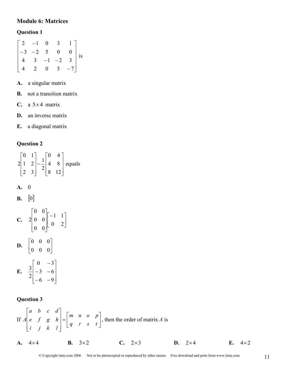# **Module 6: Matrices**

### **Question 1**

 $\overline{\phantom{a}}$  $\overline{\phantom{a}}$  $\overline{\phantom{a}}$  $\overline{\phantom{a}}$ 」  $\overline{\phantom{a}}$  $\mathbf{r}$ L L L L −  $-1$  –  $-3 -$ −  $4 \t2 \t0 \t5 \t-7$  $4 \quad 3 \quad -1 \quad -2 \quad 3$  $3 -2 5 0 0$  $2 -1 0 3 1$ is

- **A.** a singular matrix
- **B.** not a transition matrix
- **C.** a  $5 \times 4$  matrix
- **D.** an inverse matrix
- **E.** a diagonal matrix

#### **Question 2**

 $\overline{\phantom{a}}$  $\overline{\phantom{a}}$  $\overline{\phantom{a}}$  $\rfloor$  $\overline{\phantom{a}}$  $\mathbf{r}$ L L L L −  $\overline{\phantom{a}}$  $\overline{\phantom{a}}$  $\overline{\phantom{a}}$  $\rfloor$  $\overline{\phantom{a}}$  $\mathsf{L}$  $\overline{a}$  $\overline{a}$ L  $\overline{a}$ 8 12 4 8 0 4 2 1 2 3 1 2 0 1  $2 \begin{pmatrix} 1 & 2 \end{pmatrix} - \frac{1}{2} \begin{pmatrix} 4 & 8 \end{pmatrix}$  equals **A.** 0  $\mathbf{B}$ .  $\begin{bmatrix} 0 \end{bmatrix}$ **C.** 2 0 0  $\begin{bmatrix} 0 & 0 & 0 \\ 0 & 0 & 0 \\ 0 & 0 & 0 \end{bmatrix}$  $\overline{\phantom{a}}$  $\begin{vmatrix} -1 & 1 \\ 0 & 2 \end{vmatrix}$ L −  $\overline{\phantom{a}}$  $\overline{\phantom{a}}$  $\overline{\phantom{a}}$  $\rfloor$  $\overline{\phantom{a}}$  $\mathsf{L}$  $\overline{a}$  $\overline{ }$ L  $\overline{a}$ 0 2 1 1 0 0 0 0 0 0 2 **D.**  $\begin{bmatrix} 0 & 0 & 0 \\ 0 & 0 & 0 \end{bmatrix}$ J  $\begin{vmatrix} 0 & 0 & 0 \\ 0 & 0 & 0 \end{vmatrix}$ L L 0 0 0 0 0 0 **E.**  $\overline{\phantom{a}}$  $\overline{\phantom{a}}$  $\overline{\phantom{a}}$  $\overline{\phantom{a}}$  $\overline{\phantom{a}}$  $\mathbf{r}$ L L L  $-6$  –  $-3 -$ −  $6 - 9$  $3 - 6$  $0 - 3$ 2 3

#### **Question 3**

If  $A \begin{pmatrix} e & f & g & h \end{pmatrix} = \begin{pmatrix} 1 & h & h & h & h \\ g & h & g & h \end{pmatrix}$  $\rfloor$  $\begin{vmatrix} m & n & o & p \\ a & r & s & t \end{vmatrix}$ L  $=$  $\overline{\phantom{a}}$  $\overline{\phantom{a}}$  $\overline{\phantom{a}}$  $\rfloor$  $\overline{\phantom{a}}$  $\mathsf{L}$  $\mathsf{L}$  $\mathsf{L}$ L  $\mathsf{L}$ *q r s t m n o p i j k l e f g h a b c d*  $A \begin{bmatrix} e & f & g & h \end{bmatrix} = \begin{bmatrix} 1 & h & h & h \\ 1 & h & h & h \end{bmatrix}$ , then the order of matrix A is **A.** 4× 4 **B.** 3×2 **C.** 2×3 **D.** 2× 4 **E.** 4× 2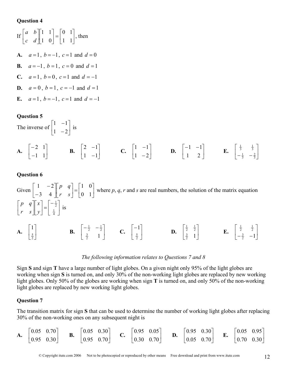If 
$$
\begin{bmatrix} a & b \\ c & d \end{bmatrix} \begin{bmatrix} 1 & 1 \\ 1 & 0 \end{bmatrix} = \begin{bmatrix} 0 & 1 \\ 1 & 1 \end{bmatrix}
$$
, then  
\n**A.**  $a = 1$ ,  $b = -1$ ,  $c = 1$  and  $d = 0$   
\n**B.**  $a = -1$ ,  $b = 1$ ,  $c = 0$  and  $d = 1$   
\n**C.**  $a = 1$ ,  $b = 0$ ,  $c = 1$  and  $d = -1$   
\n**D.**  $a = 0$ ,  $b = 1$ ,  $c = -1$  and  $d = 1$   
\n**E.**  $a = 1$ ,  $b = -1$ ,  $c = 1$  and  $d = -1$ 

#### **Question 5**

The inverse of  $\begin{vmatrix} 1 & 1 \\ 1 & -2 \end{vmatrix}$  $\rfloor$  $\begin{vmatrix} 1 & -1 \\ 1 & 2 \end{vmatrix}$ L L − −  $1 - 2$  $1 -1$ is

 $\bf{A.} \begin{vmatrix} 2 & 1 \\ 1 & 1 \end{vmatrix}$  $\rfloor$  $\begin{vmatrix} -2 & 1 \\ 1 & 1 \end{vmatrix}$ L L − −  $\begin{bmatrix} 2 & 1 \\ 1 & 1 \end{bmatrix}$  **B.**  $\begin{bmatrix} 2 & -1 \\ 1 & -1 \end{bmatrix}$  $\rfloor$  $\begin{vmatrix} 2 & -1 \\ 1 & 1 \end{vmatrix}$ L  $\overline{a}$ − −  $\begin{bmatrix} 2 & -1 \\ 1 & -1 \end{bmatrix}$  **C.**  $\begin{bmatrix} 1 & -1 \\ 1 & -2 \end{bmatrix}$  $\overline{\phantom{a}}$  $\begin{vmatrix} 1 & -1 \\ 1 & 2 \end{vmatrix}$ L L − −  $\begin{bmatrix} 1 & -1 \\ 1 & -2 \end{bmatrix}$  **D.**  $\begin{bmatrix} -1 & -1 \\ 1 & 2 \end{bmatrix}$ 」  $\begin{vmatrix} -1 & -1 \\ 1 & 2 \end{vmatrix}$ L  $\begin{bmatrix} -1 & - \end{bmatrix}$  $\begin{bmatrix} -1 & -1 \\ 1 & 2 \end{bmatrix}$  **E.**  $\begin{bmatrix} \frac{1}{3} & \frac{1}{3} \\ -\frac{1}{3} & -\frac{2}{3} \end{bmatrix}$  $\rfloor$  $\begin{array}{ccc} \frac{1}{3} & \frac{1}{3} \\ 1 & 2 \end{array}$ L L  $-\frac{1}{3}$   $-\frac{2}{3}$  $\frac{1}{3}$   $\frac{1}{3}$ 

#### **Question 6**

Given  $\begin{vmatrix} 1 & 2 \ 3 & 4 \end{vmatrix}$   $\begin{vmatrix} P & q \ r & s \end{vmatrix} = \begin{vmatrix} 1 & 0 \ 0 & 1 \end{vmatrix}$ J  $\begin{vmatrix} 1 & 0 \\ 0 & 1 \end{vmatrix}$ L  $\left| = \right|$ J  $\left| \begin{array}{cc} p & q \\ r & s \end{array} \right|$ L  $\mathsf{L}$  $\overline{\phantom{a}}$ J  $\begin{vmatrix} 1 & -2 \\ 2 & 4 \end{vmatrix}$ L  $\mathbf{r}$ − − 0 1 1 0 3 4  $1 - 2$ *r s*  $p \quad q$  =  $\begin{bmatrix} 1 & 0 \\ 0 & 1 \end{bmatrix}$  where p, q, r and s are real numbers, the solution of the matrix equation  $\overline{\phantom{a}}$  $\rfloor$  $\left| \frac{-\frac{1}{2}}{1} \right|$ L |− <del>|</del><br>|- $\rfloor$  $\left| \begin{array}{c} x \\ y \end{array} \right|$ L L  $\overline{\phantom{a}}$  $\rfloor$  $\left| \begin{array}{cc} p & q \\ r & s \end{array} \right|$ L L  $\frac{1}{4}$  $\frac{1}{2}$ *y x r s*  $p \mid q \mid x \mid = \left| -\frac{1}{2} \right|$  is  $\mathbf{A.} \parallel \cdot \cdot \cdot \parallel$ J  $\overline{\phantom{a}}$  $\mathbf{r}$ L L 1<br>  $\frac{5}{2}$  **B.**  $\begin{bmatrix} -\frac{1}{2} & -\frac{1}{2} \\ \frac{3}{2} & 1 \end{bmatrix}$  $\rfloor$  $\begin{vmatrix} -\frac{1}{2} & -\frac{1}{2} \\ 3 & 1 \end{vmatrix}$ L  $-\frac{1}{2}$  –  $\frac{3}{2}$  1  $\frac{1}{2} - \frac{1}{2}$  $\begin{array}{c|c} \hline \textbf{C.} & \frac{1}{5} \end{array}$ J  $\left| \begin{array}{c} -1 \\ 5 \end{array} \right|$ L −  $\begin{bmatrix} -1 \\ \frac{5}{2} \end{bmatrix}$  **D.**  $\begin{bmatrix} \frac{1}{2} & \frac{1}{2} \\ \frac{3}{2} & 1 \end{bmatrix}$  $\rfloor$  $\begin{array}{|c|c|}\n\hline\n\frac{1}{2} & \frac{1}{2} \\
3 & 1\n\end{array}$ L L  $\frac{3}{2}$  1  $\frac{1}{2}$   $\frac{1}{2}$ **E.**  $\begin{bmatrix} 2 & 2 \\ 3 & 1 \end{bmatrix}$  $\rfloor$  $\begin{array}{|c|c|} \hline \frac{1}{2} & \frac{1}{2} \\ 3 & 1 \end{array}$ L L  $-\frac{3}{2}$  -1  $\frac{1}{2}$   $\frac{1}{2}$ 

#### *The following information relates to Questions 7 and 8*

Sign **S** and sign **T** have a large number of light globes. On a given night only 95% of the light globes are working when sign **S** is turned on, and only 30% of the non-working light globes are replaced by new working light globes. Only 50% of the globes are working when sign **T** is turned on, and only 50% of the non-working light globes are replaced by new working light globes.

#### **Question 7**

The transition matrix for sign **S** that can be used to determine the number of working light globes after replacing 30% of the non-working ones on any subsequent night is

**A.** 
$$
\begin{bmatrix} 0.05 & 0.70 \\ 0.95 & 0.30 \end{bmatrix}
$$
 **B.**  $\begin{bmatrix} 0.05 & 0.30 \\ 0.95 & 0.70 \end{bmatrix}$  **C.**  $\begin{bmatrix} 0.95 & 0.05 \\ 0.30 & 0.70 \end{bmatrix}$  **D.**  $\begin{bmatrix} 0.95 & 0.30 \\ 0.05 & 0.70 \end{bmatrix}$  **E.**  $\begin{bmatrix} 0.05 & 0.95 \\ 0.70 & 0.30 \end{bmatrix}$